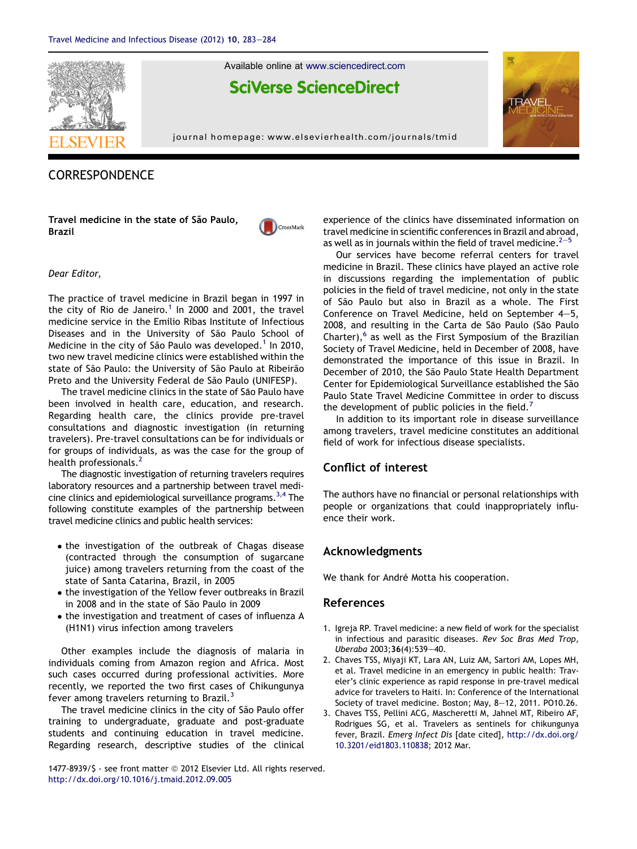

Available online at [www.sciencedirect.com](www.sciencedirect.com/science/journal/14778939)

# **SciVerse ScienceDirect**

journal homepage: [www.elsevierhealth.com/journals/tmid](http://www.elsevierhealth.com/journals/tmid)



## **CORRESPONDENCE**

Travel medicine in the state of São Paulo, Brazil



#### Dear Editor,

The practice of travel medicine in Brazil began in 1997 in the city of Rio de Janeiro.<sup>1</sup> In 2000 and 2001, the travel medicine service in the Emilio Ribas Institute of Infectious Diseases and in the University of São Paulo School of Medicine in the city of São Paulo was developed.<sup>1</sup> In 2010, two new travel medicine clinics were established within the state of São Paulo: the University of São Paulo at Ribeirão Preto and the University Federal de São Paulo (UNIFESP).

The travel medicine clinics in the state of São Paulo have been involved in health care, education, and research. Regarding health care, the clinics provide pre-travel consultations and diagnostic investigation (in returning travelers). Pre-travel consultations can be for individuals or for groups of individuals, as was the case for the group of health professionals.<sup>2</sup>

The diagnostic investigation of returning travelers requires laboratory resources and a partnership between travel medicine clinics and epidemiological surveillance programs.<sup>3,4</sup> The following constitute examples of the partnership between travel medicine clinics and public health services:

- the investigation of the outbreak of Chagas disease (contracted through the consumption of sugarcane juice) among travelers returning from the coast of the state of Santa Catarina, Brazil, in 2005
- the investigation of the Yellow fever outbreaks in Brazil in 2008 and in the state of São Paulo in 2009
- the investigation and treatment of cases of influenza A (H1N1) virus infection among travelers

Other examples include the diagnosis of malaria in individuals coming from Amazon region and Africa. Most such cases occurred during professional activities. More recently, we reported the two first cases of Chikungunya fever among travelers returning to Brazil. $3$ 

The travel medicine clinics in the city of São Paulo offer training to undergraduate, graduate and post-graduate students and continuing education in travel medicine. Regarding research, descriptive studies of the clinical experience of the clinics have disseminated information on travel medicine in scientific conferences in Brazil and abroad, as well as in journals within the field of travel medicine. $2-5$ 

Our services have become referral centers for travel medicine in Brazil. These clinics have played an active role in discussions regarding the implementation of public policies in the field of travel medicine, not only in the state of São Paulo but also in Brazil as a whole. The First Conference on Travel Medicine, held on September  $4-5$ , 2008, and resulting in the Carta de São Paulo (São Paulo Charter), $6$  as well as the First Symposium of the Brazilian Society of Travel Medicine, held in December of 2008, have demonstrated the importance of this issue in Brazil. In December of 2010, the São Paulo State Health Department Center for Epidemiological Surveillance established the São Paulo State Travel Medicine Committee in order to discuss the development of public policies in the field.<sup>7</sup>

In addition to its important role in disease surveillance among travelers, travel medicine constitutes an additional field of work for infectious disease specialists.

### Conflict of interest

The authors have no financial or personal relationships with people or organizations that could inappropriately influence their work.

#### Acknowledgments

We thank for André Motta his cooperation.

#### References

- 1. Igreja RP. Travel medicine: a new field of work for the specialist in infectious and parasitic diseases. Rev Soc Bras Med Trop, Uberaba 2003;36(4):539-40.
- 2. Chaves TSS, Miyaji KT, Lara AN, Luiz AM, Sartori AM, Lopes MH, et al. Travel medicine in an emergency in public health: Traveler's clinic experience as rapid response in pre-travel medical advice for travelers to Haiti. In: Conference of the International Society of travel medicine. Boston; May, 8-12, 2011. PO10.26.
- 3. Chaves TSS, Pellini ACG, Mascheretti M, Jahnel MT, Ribeiro AF, Rodrigues SG, et al. Travelers as sentinels for chikungunya fever, Brazil. Emerg Infect Dis [date cited], [http://dx.doi.org/](http://dx.doi.org/10.3201/eid1803.110838) [10.3201/eid1803.110838;](http://dx.doi.org/10.3201/eid1803.110838) 2012 Mar.